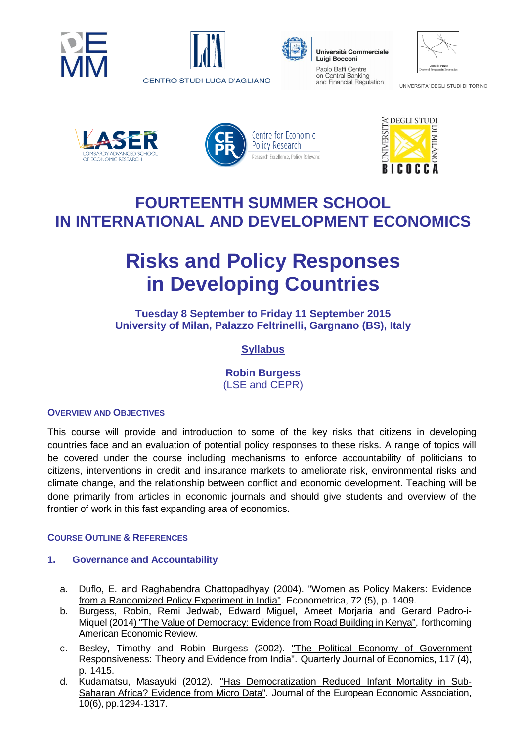





Università Commerciale Luigi Bocconi Paolo Baffi Centre on Central Banking and Financial Regulation

| Vilfredo Pareto<br>Doctoral Program in Economics |
|--------------------------------------------------|

UNIVERSITA' DEGLI STUDI DI TORINO









# **FOURTEENTH SUMMER SCHOOL IN INTERNATIONAL AND DEVELOPMENT ECONOMICS**

# **Risks and Policy Responses in Developing Countries**

**Tuesday 8 September to Friday 11 September 2015 University of Milan, Palazzo Feltrinelli, Gargnano (BS), Italy**

# **Syllabus**

**Robin Burgess**  (LSE and CEPR)

# **OVERVIEW AND OBJECTIVES**

This course will provide and introduction to some of the key risks that citizens in developing countries face and an evaluation of potential policy responses to these risks. A range of topics will be covered under the course including mechanisms to enforce accountability of politicians to citizens, interventions in credit and insurance markets to ameliorate risk, environmental risks and climate change, and the relationship between conflict and economic development. Teaching will be done primarily from articles in economic journals and should give students and overview of the frontier of work in this fast expanding area of economics.

# **COURSE OUTLINE & REFERENCES**

# **1. Governance and Accountability**

- a. Duflo, E. and Raghabendra Chattopadhyay (2004). ["Women as Policy Makers: Evidence](http://economics.mit.edu/files/792)  [from a Randomized Policy Experiment in India".](http://economics.mit.edu/files/792) Econometrica, 72 (5), p. 1409.
- b. Burgess, Robin, Remi Jedwab, Edward Miguel, Ameet Morjaria and Gerard Padro-i-Miquel (2014) "The Value of [Democracy:](http://home.gwu.edu/~jedwab/roads140724.pdf) Evidence from Road Building in Kenya", forthcoming American Economic Review.
- c. Besley, Timothy and Robin Burgess (2002). "The Political Economy of [Government](http://public.econ.duke.edu/~psarcidi/lunchf08/besburgess.pdf) [Responsiveness:](http://public.econ.duke.edu/~psarcidi/lunchf08/besburgess.pdf) Theory and Evidence from India". Quarterly Journal of Economics, 117 (4), p. 1415.
- d. Kudamatsu, Masayuki (2012). "Has [Democratization](http://onlinelibrary.wiley.com/doi/10.1111/j.1542-4774.2012.01092.x/abstract) Reduced Infant Mortality in Sub-Saharan Africa? [Evidence](http://onlinelibrary.wiley.com/doi/10.1111/j.1542-4774.2012.01092.x/abstract) from Micro Data". Journal of the European Economic Association, 10(6), pp.1294-1317.